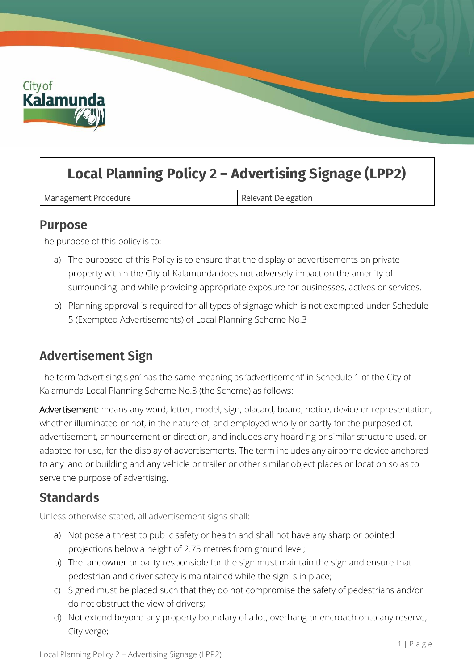

# **Local Planning Policy 2 – Advertising Signage (LPP2)**

Management Procedure **Relevant Delegation** 

#### **Purpose**

The purpose of this policy is to:

- a) The purposed of this Policy is to ensure that the display of advertisements on private property within the City of Kalamunda does not adversely impact on the amenity of surrounding land while providing appropriate exposure for businesses, actives or services.
- b) Planning approval is required for all types of signage which is not exempted under Schedule 5 (Exempted Advertisements) of Local Planning Scheme No.3

### **Advertisement Sign**

The term 'advertising sign' has the same meaning as 'advertisement' in Schedule 1 of the City of Kalamunda Local Planning Scheme No.3 (the Scheme) as follows:

Advertisement: means any word, letter, model, sign, placard, board, notice, device or representation, whether illuminated or not, in the nature of, and employed wholly or partly for the purposed of, advertisement, announcement or direction, and includes any hoarding or similar structure used, or adapted for use, for the display of advertisements. The term includes any airborne device anchored to any land or building and any vehicle or trailer or other similar object places or location so as to serve the purpose of advertising.

### **Standards**

Unless otherwise stated, all advertisement signs shall:

- a) Not pose a threat to public safety or health and shall not have any sharp or pointed projections below a height of 2.75 metres from ground level;
- b) The landowner or party responsible for the sign must maintain the sign and ensure that pedestrian and driver safety is maintained while the sign is in place;
- c) Signed must be placed such that they do not compromise the safety of pedestrians and/or do not obstruct the view of drivers;
- d) Not extend beyond any property boundary of a lot, overhang or encroach onto any reserve, City verge;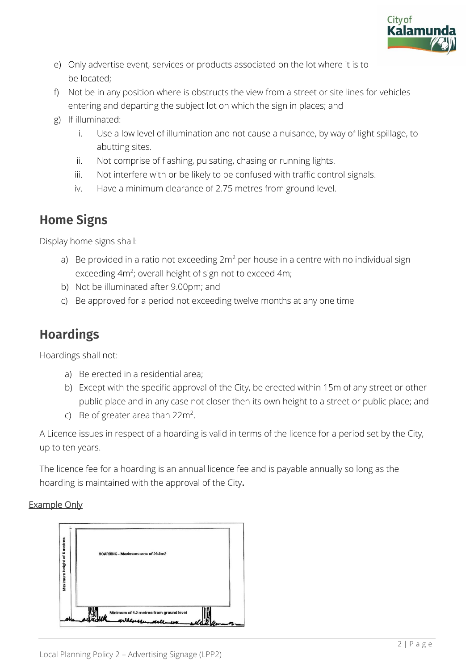

- e) Only advertise event, services or products associated on the lot where it is to be located;
- f) Not be in any position where is obstructs the view from a street or site lines for vehicles entering and departing the subject lot on which the sign in places; and
- g) If illuminated:
	- i. Use a low level of illumination and not cause a nuisance, by way of light spillage, to abutting sites.
	- ii. Not comprise of flashing, pulsating, chasing or running lights.
	- iii. Not interfere with or be likely to be confused with traffic control signals.
	- iv. Have a minimum clearance of 2.75 metres from ground level.

### **Home Signs**

Display home signs shall:

- a) Be provided in a ratio not exceeding  $2m^2$  per house in a centre with no individual sign exceeding 4m<sup>2</sup>; overall height of sign not to exceed 4m;
- b) Not be illuminated after 9.00pm; and
- c) Be approved for a period not exceeding twelve months at any one time

# **Hoardings**

Hoardings shall not:

- a) Be erected in a residential area;
- b) Except with the specific approval of the City, be erected within 15m of any street or other public place and in any case not closer then its own height to a street or public place; and
- c) Be of greater area than  $22m^2$ .

A Licence issues in respect of a hoarding is valid in terms of the licence for a period set by the City, up to ten years.

The licence fee for a hoarding is an annual licence fee and is payable annually so long as the hoarding is maintained with the approval of the City.

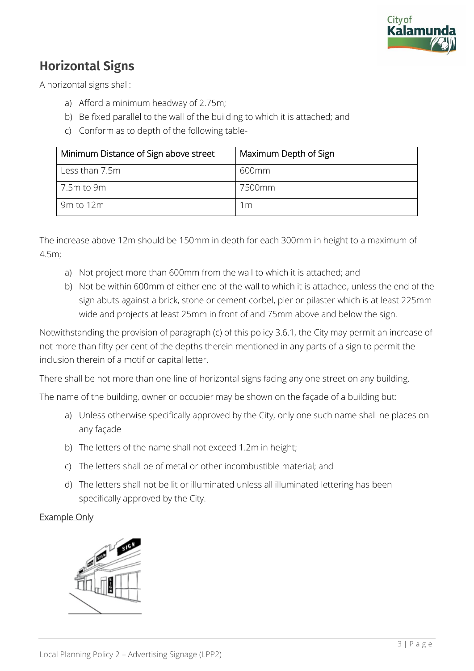

## **Horizontal Signs**

A horizontal signs shall:

- a) Afford a minimum headway of 2.75m;
- b) Be fixed parallel to the wall of the building to which it is attached; and
- c) Conform as to depth of the following table-

| Minimum Distance of Sign above street | Maximum Depth of Sign |
|---------------------------------------|-----------------------|
| Less than 7.5m                        | 600mm                 |
| 7.5m to 9m                            | 7500mm                |
| 9m to 12m                             | 1 <sub>m</sub>        |

The increase above 12m should be 150mm in depth for each 300mm in height to a maximum of 4.5m;

- a) Not project more than 600mm from the wall to which it is attached; and
- b) Not be within 600mm of either end of the wall to which it is attached, unless the end of the sign abuts against a brick, stone or cement corbel, pier or pilaster which is at least 225mm wide and projects at least 25mm in front of and 75mm above and below the sign.

Notwithstanding the provision of paragraph (c) of this policy 3.6.1, the City may permit an increase of not more than fifty per cent of the depths therein mentioned in any parts of a sign to permit the inclusion therein of a motif or capital letter.

There shall be not more than one line of horizontal signs facing any one street on any building.

The name of the building, owner or occupier may be shown on the façade of a building but:

- a) Unless otherwise specifically approved by the City, only one such name shall ne places on any façade
- b) The letters of the name shall not exceed 1.2m in height;
- c) The letters shall be of metal or other incombustible material; and
- d) The letters shall not be lit or illuminated unless all illuminated lettering has been specifically approved by the City.

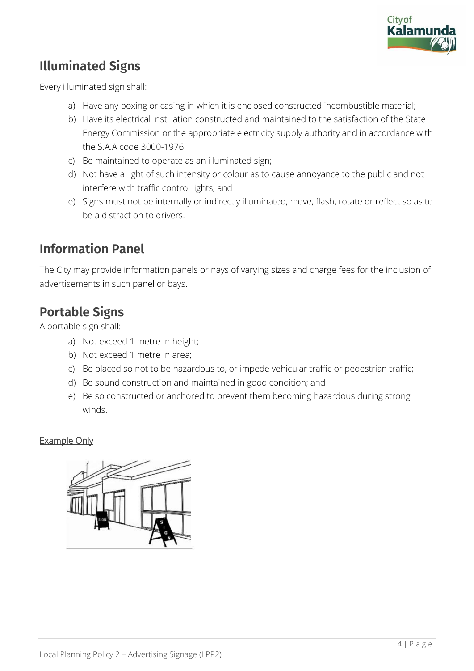

## **Illuminated Signs**

Every illuminated sign shall:

- a) Have any boxing or casing in which it is enclosed constructed incombustible material;
- b) Have its electrical instillation constructed and maintained to the satisfaction of the State Energy Commission or the appropriate electricity supply authority and in accordance with the S.A.A code 3000-1976.
- c) Be maintained to operate as an illuminated sign;
- d) Not have a light of such intensity or colour as to cause annoyance to the public and not interfere with traffic control lights; and
- e) Signs must not be internally or indirectly illuminated, move, flash, rotate or reflect so as to be a distraction to drivers.

### **Information Panel**

The City may provide information panels or nays of varying sizes and charge fees for the inclusion of advertisements in such panel or bays.

### **Portable Signs**

A portable sign shall:

- a) Not exceed 1 metre in height;
- b) Not exceed 1 metre in area;
- c) Be placed so not to be hazardous to, or impede vehicular traffic or pedestrian traffic;
- d) Be sound construction and maintained in good condition; and
- e) Be so constructed or anchored to prevent them becoming hazardous during strong winds.

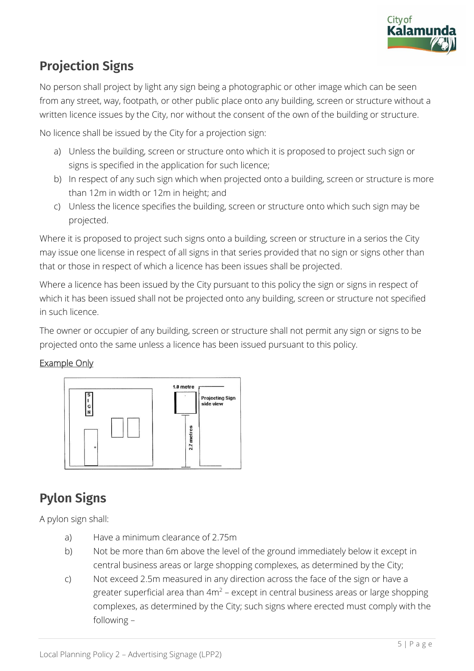

# **Projection Signs**

No person shall project by light any sign being a photographic or other image which can be seen from any street, way, footpath, or other public place onto any building, screen or structure without a written licence issues by the City, nor without the consent of the own of the building or structure.

No licence shall be issued by the City for a projection sign:

- a) Unless the building, screen or structure onto which it is proposed to project such sign or signs is specified in the application for such licence;
- b) In respect of any such sign which when projected onto a building, screen or structure is more than 12m in width or 12m in height; and
- c) Unless the licence specifies the building, screen or structure onto which such sign may be projected.

Where it is proposed to project such signs onto a building, screen or structure in a serios the City may issue one license in respect of all signs in that series provided that no sign or signs other than that or those in respect of which a licence has been issues shall be projected.

Where a licence has been issued by the City pursuant to this policy the sign or signs in respect of which it has been issued shall not be projected onto any building, screen or structure not specified in such licence.

The owner or occupier of any building, screen or structure shall not permit any sign or signs to be projected onto the same unless a licence has been issued pursuant to this policy.

#### Example Only



### **Pylon Signs**

A pylon sign shall:

- a) Have a minimum clearance of 2.75m
- b) Not be more than 6m above the level of the ground immediately below it except in central business areas or large shopping complexes, as determined by the City;
- c) Not exceed 2.5m measured in any direction across the face of the sign or have a greater superficial area than  $4m^2$  – except in central business areas or large shopping complexes, as determined by the City; such signs where erected must comply with the following –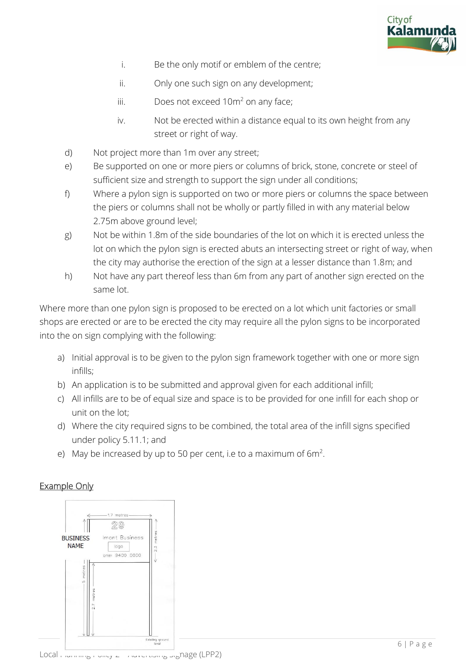

- i. Be the only motif or emblem of the centre;
- ii. Only one such sign on any development;
- iii. Does not exceed  $10m^2$  on any face;
- iv. Not be erected within a distance equal to its own height from any street or right of way.
- d) Not project more than 1m over any street;
- e) Be supported on one or more piers or columns of brick, stone, concrete or steel of sufficient size and strength to support the sign under all conditions;
- f) Where a pylon sign is supported on two or more piers or columns the space between the piers or columns shall not be wholly or partly filled in with any material below 2.75m above ground level;
- g) Not be within 1.8m of the side boundaries of the lot on which it is erected unless the lot on which the pylon sign is erected abuts an intersecting street or right of way, when the city may authorise the erection of the sign at a lesser distance than 1.8m; and
- h) Not have any part thereof less than 6m from any part of another sign erected on the same lot.

Where more than one pylon sign is proposed to be erected on a lot which unit factories or small shops are erected or are to be erected the city may require all the pylon signs to be incorporated into the on sign complying with the following:

- a) Initial approval is to be given to the pylon sign framework together with one or more sign infills;
- b) An application is to be submitted and approval given for each additional infill;
- c) All infills are to be of equal size and space is to be provided for one infill for each shop or unit on the lot;
- d) Where the city required signs to be combined, the total area of the infill signs specified under policy 5.11.1; and
- e) May be increased by up to 50 per cent, i.e to a maximum of  $6m^2$ .

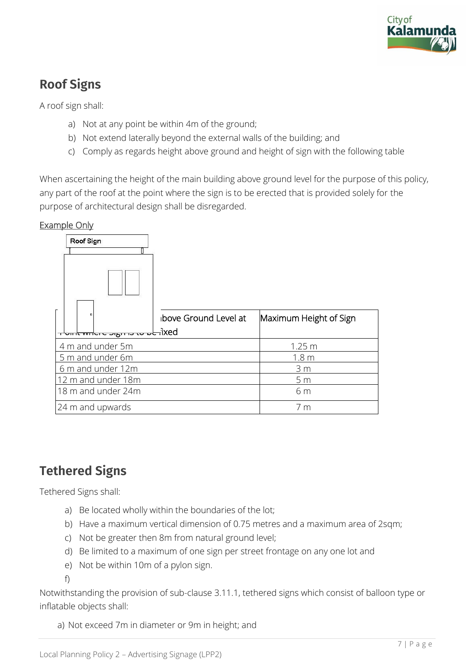

# **Roof Signs**

A roof sign shall:

- a) Not at any point be within 4m of the ground;
- b) Not extend laterally beyond the external walls of the building; and
- c) Comply as regards height above ground and height of sign with the following table

When ascertaining the height of the main building above ground level for the purpose of this policy, any part of the roof at the point where the sign is to be erected that is provided solely for the purpose of architectural design shall be disregarded.

#### Example Only

| Roof Sign                                                     |                       |                        |
|---------------------------------------------------------------|-----------------------|------------------------|
|                                                               | ibove Ground Level at | Maximum Height of Sign |
| ixed <del>، این بن در روزب د مارانید با</del> اس <sup>ت</sup> |                       |                        |
| 4 m and under 5m                                              |                       | 1.25 <sub>m</sub>      |
| 5 m and under 6m                                              |                       | 1.8 <sub>m</sub>       |
| 6 m and under 12m                                             |                       | 3 <sub>m</sub>         |
| 12 m and under 18m                                            |                       | 5 <sub>m</sub>         |
| 18 m and under 24m                                            |                       | 6 m                    |
| 24 m and upwards                                              |                       | 7 <sub>m</sub>         |

### **Tethered Signs**

Tethered Signs shall:

- a) Be located wholly within the boundaries of the lot;
- b) Have a maximum vertical dimension of 0.75 metres and a maximum area of 2sqm;
- c) Not be greater then 8m from natural ground level;
- d) Be limited to a maximum of one sign per street frontage on any one lot and
- e) Not be within 10m of a pylon sign.

f)

Notwithstanding the provision of sub-clause 3.11.1, tethered signs which consist of balloon type or inflatable objects shall:

a) Not exceed 7m in diameter or 9m in height; and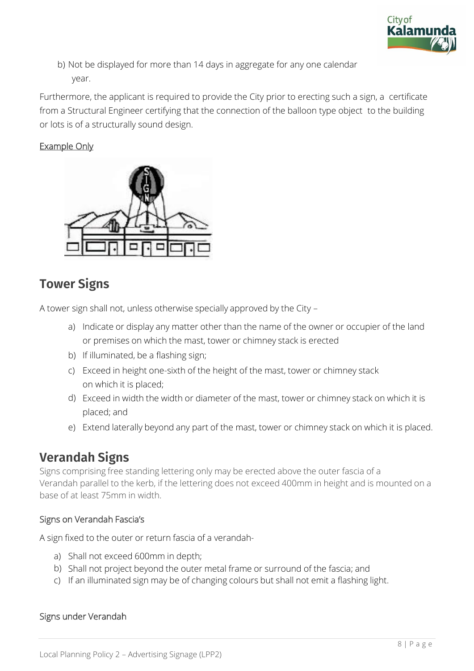

b) Not be displayed for more than 14 days in aggregate for any one calendar year.

Furthermore, the applicant is required to provide the City prior to erecting such a sign, a certificate from a Structural Engineer certifying that the connection of the balloon type object to the building or lots is of a structurally sound design.

#### Example Only



#### **Tower Signs**

A tower sign shall not, unless otherwise specially approved by the City –

- a) Indicate or display any matter other than the name of the owner or occupier of the land or premises on which the mast, tower or chimney stack is erected
- b) If illuminated, be a flashing sign;
- c) Exceed in height one-sixth of the height of the mast, tower or chimney stack on which it is placed;
- d) Exceed in width the width or diameter of the mast, tower or chimney stack on which it is placed; and
- e) Extend laterally beyond any part of the mast, tower or chimney stack on which it is placed.

### **Verandah Signs**

Signs comprising free standing lettering only may be erected above the outer fascia of a Verandah parallel to the kerb, if the lettering does not exceed 400mm in height and is mounted on a base of at least 75mm in width.

#### Signs on Verandah Fascia's

A sign fixed to the outer or return fascia of a verandah-

- a) Shall not exceed 600mm in depth;
- b) Shall not project beyond the outer metal frame or surround of the fascia; and
- c) If an illuminated sign may be of changing colours but shall not emit a flashing light.

#### Signs under Verandah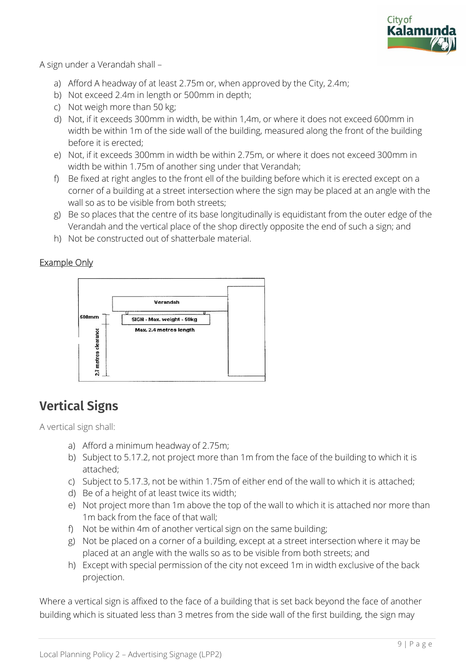

A sign under a Verandah shall –

- a) Afford A headway of at least 2.75m or, when approved by the City, 2.4m;
- b) Not exceed 2.4m in length or 500mm in depth;
- c) Not weigh more than 50 kg;
- d) Not, if it exceeds 300mm in width, be within 1,4m, or where it does not exceed 600mm in width be within 1m of the side wall of the building, measured along the front of the building before it is erected;
- e) Not, if it exceeds 300mm in width be within 2.75m, or where it does not exceed 300mm in width be within 1.75m of another sing under that Verandah;
- f) Be fixed at right angles to the front ell of the building before which it is erected except on a corner of a building at a street intersection where the sign may be placed at an angle with the wall so as to be visible from both streets;
- g) Be so places that the centre of its base longitudinally is equidistant from the outer edge of the Verandah and the vertical place of the shop directly opposite the end of such a sign; and
- h) Not be constructed out of shatterbale material.

#### Example Only



# **Vertical Signs**

A vertical sign shall:

- a) Afford a minimum headway of 2.75m;
- b) Subject to 5.17.2, not project more than 1m from the face of the building to which it is attached;
- c) Subject to 5.17.3, not be within 1.75m of either end of the wall to which it is attached;
- d) Be of a height of at least twice its width;
- e) Not project more than 1m above the top of the wall to which it is attached nor more than 1m back from the face of that wall;
- f) Not be within 4m of another vertical sign on the same building;
- g) Not be placed on a corner of a building, except at a street intersection where it may be placed at an angle with the walls so as to be visible from both streets; and
- h) Except with special permission of the city not exceed 1m in width exclusive of the back projection.

Where a vertical sign is affixed to the face of a building that is set back beyond the face of another building which is situated less than 3 metres from the side wall of the first building, the sign may